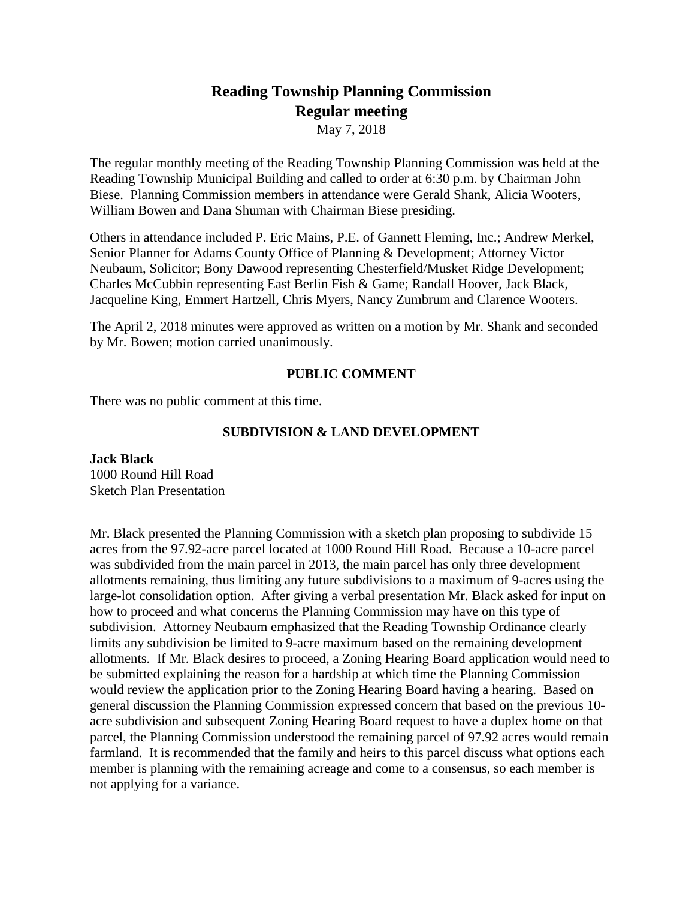# **Reading Township Planning Commission Regular meeting**

May 7, 2018

The regular monthly meeting of the Reading Township Planning Commission was held at the Reading Township Municipal Building and called to order at 6:30 p.m. by Chairman John Biese. Planning Commission members in attendance were Gerald Shank, Alicia Wooters, William Bowen and Dana Shuman with Chairman Biese presiding.

Others in attendance included P. Eric Mains, P.E. of Gannett Fleming, Inc.; Andrew Merkel, Senior Planner for Adams County Office of Planning & Development; Attorney Victor Neubaum, Solicitor; Bony Dawood representing Chesterfield/Musket Ridge Development; Charles McCubbin representing East Berlin Fish & Game; Randall Hoover, Jack Black, Jacqueline King, Emmert Hartzell, Chris Myers, Nancy Zumbrum and Clarence Wooters.

The April 2, 2018 minutes were approved as written on a motion by Mr. Shank and seconded by Mr. Bowen; motion carried unanimously.

# **PUBLIC COMMENT**

There was no public comment at this time.

# **SUBDIVISION & LAND DEVELOPMENT**

**Jack Black** 1000 Round Hill Road Sketch Plan Presentation

Mr. Black presented the Planning Commission with a sketch plan proposing to subdivide 15 acres from the 97.92-acre parcel located at 1000 Round Hill Road. Because a 10-acre parcel was subdivided from the main parcel in 2013, the main parcel has only three development allotments remaining, thus limiting any future subdivisions to a maximum of 9-acres using the large-lot consolidation option. After giving a verbal presentation Mr. Black asked for input on how to proceed and what concerns the Planning Commission may have on this type of subdivision. Attorney Neubaum emphasized that the Reading Township Ordinance clearly limits any subdivision be limited to 9-acre maximum based on the remaining development allotments. If Mr. Black desires to proceed, a Zoning Hearing Board application would need to be submitted explaining the reason for a hardship at which time the Planning Commission would review the application prior to the Zoning Hearing Board having a hearing. Based on general discussion the Planning Commission expressed concern that based on the previous 10 acre subdivision and subsequent Zoning Hearing Board request to have a duplex home on that parcel, the Planning Commission understood the remaining parcel of 97.92 acres would remain farmland. It is recommended that the family and heirs to this parcel discuss what options each member is planning with the remaining acreage and come to a consensus, so each member is not applying for a variance.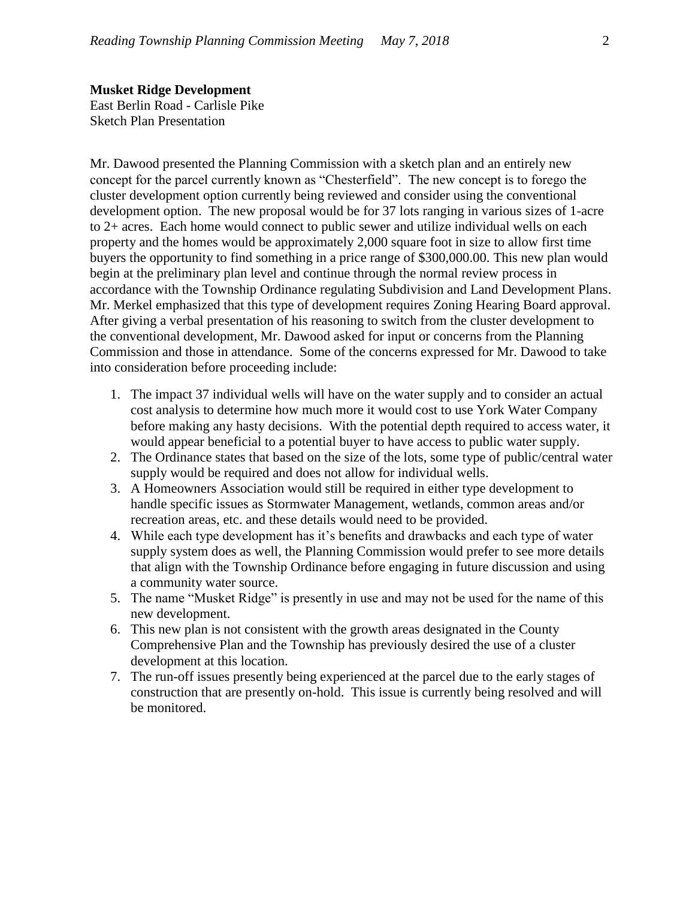East Berlin Road - Carlisle Pike Sketch Plan Presentation

Mr. Dawood presented the Planning Commission with a sketch plan and an entirely new concept for the parcel currently known as "Chesterfield". The new concept is to forego the cluster development option currently being reviewed and consider using the conventional development option. The new proposal would be for 37 lots ranging in various sizes of 1-acre to 2+ acres. Each home would connect to public sewer and utilize individual wells on each property and the homes would be approximately 2,000 square foot in size to allow first time buyers the opportunity to find something in a price range of \$300,000.00. This new plan would begin at the preliminary plan level and continue through the normal review process in accordance with the Township Ordinance regulating Subdivision and Land Development Plans. Mr. Merkel emphasized that this type of development requires Zoning Hearing Board approval. After giving a verbal presentation of his reasoning to switch from the cluster development to the conventional development, Mr. Dawood asked for input or concerns from the Planning Commission and those in attendance. Some of the concerns expressed for Mr. Dawood to take into consideration before proceeding include:

- 1. The impact 37 individual wells will have on the water supply and to consider an actual cost analysis to determine how much more it would cost to use York Water Company before making any hasty decisions. With the potential depth required to access water, it would appear beneficial to a potential buyer to have access to public water supply.
- 2. The Ordinance states that based on the size of the lots, some type of public/central water supply would be required and does not allow for individual wells.
- 3. A Homeowners Association would still be required in either type development to handle specific issues as Stormwater Management, wetlands, common areas and/or recreation areas, etc. and these details would need to be provided.
- 4. While each type development has it's benefits and drawbacks and each type of water supply system does as well, the Planning Commission would prefer to see more details that align with the Township Ordinance before engaging in future discussion and using a community water source.
- 5. The name "Musket Ridge" is presently in use and may not be used for the name of this new development.
- 6. This new plan is not consistent with the growth areas designated in the County Comprehensive Plan and the Township has previously desired the use of a cluster development at this location.
- 7. The run-off issues presently being experienced at the parcel due to the early stages of construction that are presently on-hold. This issue is currently being resolved and will be monitored.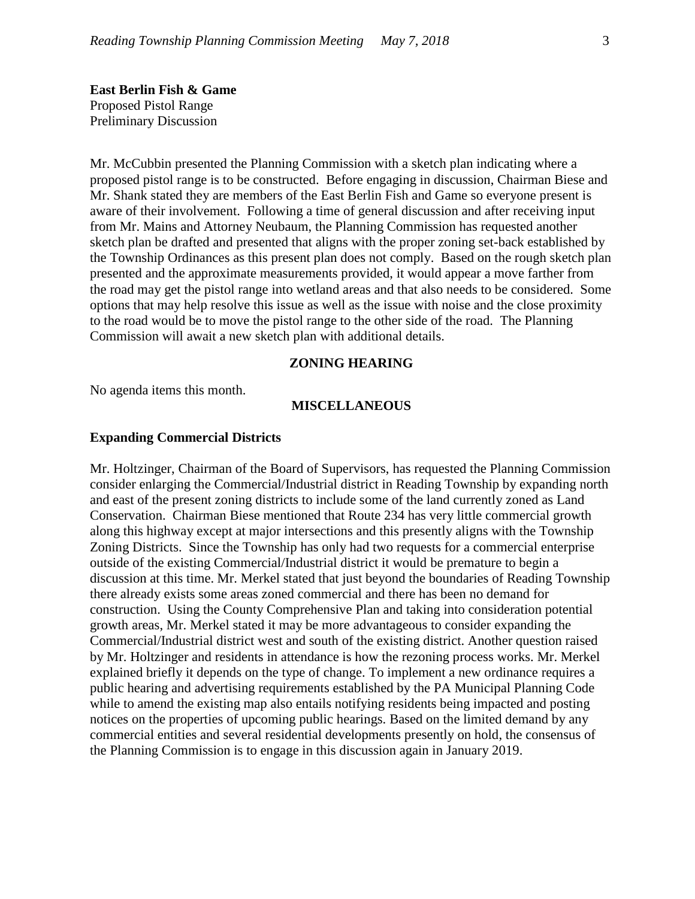**East Berlin Fish & Game**  Proposed Pistol Range Preliminary Discussion

Mr. McCubbin presented the Planning Commission with a sketch plan indicating where a proposed pistol range is to be constructed. Before engaging in discussion, Chairman Biese and Mr. Shank stated they are members of the East Berlin Fish and Game so everyone present is aware of their involvement. Following a time of general discussion and after receiving input from Mr. Mains and Attorney Neubaum, the Planning Commission has requested another sketch plan be drafted and presented that aligns with the proper zoning set-back established by the Township Ordinances as this present plan does not comply. Based on the rough sketch plan presented and the approximate measurements provided, it would appear a move farther from the road may get the pistol range into wetland areas and that also needs to be considered. Some options that may help resolve this issue as well as the issue with noise and the close proximity to the road would be to move the pistol range to the other side of the road. The Planning Commission will await a new sketch plan with additional details.

#### **ZONING HEARING**

No agenda items this month.

## **MISCELLANEOUS**

#### **Expanding Commercial Districts**

Mr. Holtzinger, Chairman of the Board of Supervisors, has requested the Planning Commission consider enlarging the Commercial/Industrial district in Reading Township by expanding north and east of the present zoning districts to include some of the land currently zoned as Land Conservation. Chairman Biese mentioned that Route 234 has very little commercial growth along this highway except at major intersections and this presently aligns with the Township Zoning Districts. Since the Township has only had two requests for a commercial enterprise outside of the existing Commercial/Industrial district it would be premature to begin a discussion at this time. Mr. Merkel stated that just beyond the boundaries of Reading Township there already exists some areas zoned commercial and there has been no demand for construction. Using the County Comprehensive Plan and taking into consideration potential growth areas, Mr. Merkel stated it may be more advantageous to consider expanding the Commercial/Industrial district west and south of the existing district. Another question raised by Mr. Holtzinger and residents in attendance is how the rezoning process works. Mr. Merkel explained briefly it depends on the type of change. To implement a new ordinance requires a public hearing and advertising requirements established by the PA Municipal Planning Code while to amend the existing map also entails notifying residents being impacted and posting notices on the properties of upcoming public hearings. Based on the limited demand by any commercial entities and several residential developments presently on hold, the consensus of the Planning Commission is to engage in this discussion again in January 2019.